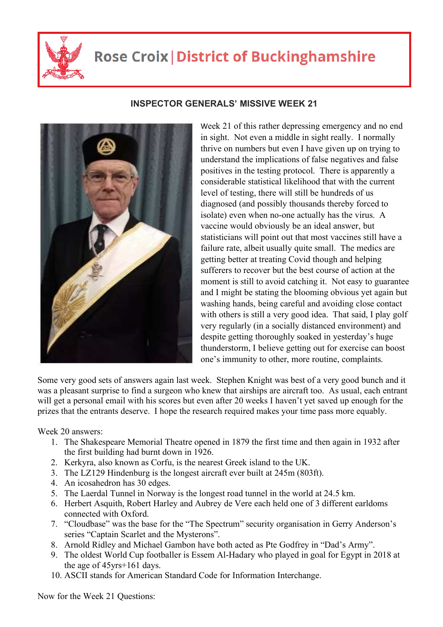

## **Rose Croix | District of Buckinghamshire**



## **INSPECTOR GENERALS' MISSIVE WEEK 21**

Week 21 of this rather depressing emergency and no end in sight. Not even a middle in sight really. I normally thrive on numbers but even I have given up on trying to understand the implications of false negatives and false positives in the testing protocol. There is apparently a considerable statistical likelihood that with the current level of testing, there will still be hundreds of us diagnosed (and possibly thousands thereby forced to isolate) even when no-one actually has the virus. A vaccine would obviously be an ideal answer, but statisticians will point out that most vaccines still have a failure rate, albeit usually quite small. The medics are getting better at treating Covid though and helping sufferers to recover but the best course of action at the moment is still to avoid catching it. Not easy to guarantee and I might be stating the blooming obvious yet again but washing hands, being careful and avoiding close contact with others is still a very good idea. That said, I play golf very regularly (in a socially distanced environment) and despite getting thoroughly soaked in yesterday's huge thunderstorm, I believe getting out for exercise can boost one's immunity to other, more routine, complaints.

Some very good sets of answers again last week. Stephen Knight was best of a very good bunch and it was a pleasant surprise to find a surgeon who knew that airships are aircraft too. As usual, each entrant will get a personal email with his scores but even after 20 weeks I haven't yet saved up enough for the prizes that the entrants deserve. I hope the research required makes your time pass more equably.

Week 20 answers:

- 1. The Shakespeare Memorial Theatre opened in 1879 the first time and then again in 1932 after the first building had burnt down in 1926.
- 2. Kerkyra, also known as Corfu, is the nearest Greek island to the UK.
- 3. The LZ129 Hindenburg is the longest aircraft ever built at 245m (803ft).
- 4. An icosahedron has 30 edges.
- 5. The Laerdal Tunnel in Norway is the longest road tunnel in the world at 24.5 km.
- 6. Herbert Asquith, Robert Harley and Aubrey de Vere each held one of 3 different earldoms connected with Oxford.
- 7. "Cloudbase" was the base for the "The Spectrum" security organisation in Gerry Anderson's series "Captain Scarlet and the Mysterons".
- 8. Arnold Ridley and Michael Gambon have both acted as Pte Godfrey in "Dad's Army".
- 9. The oldest World Cup footballer is Essem Al-Hadary who played in goal for Egypt in 2018 at the age of 45yrs+161 days.
- 10. ASCII stands for American Standard Code for Information Interchange.

Now for the Week 21 Questions: